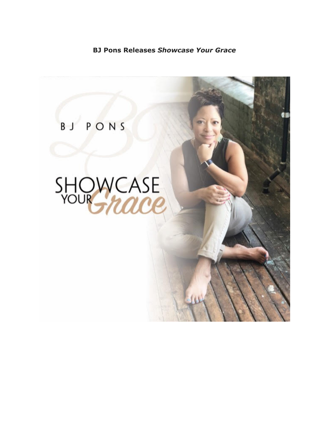## **BJ Pons Releases** *Showcase Your Grace*

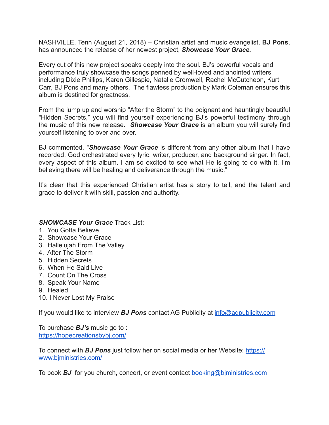NASHVILLE, Tenn (August 21, 2018) – Christian artist and music evangelist, **BJ Pons**, has announced the release of her newest project, *Showcase Your Grace.* 

Every cut of this new project speaks deeply into the soul. BJ's powerful vocals and performance truly showcase the songs penned by well-loved and anointed writers including Dixie Phillips, Karen Gillespie, Natalie Cromwell, Rachel McCutcheon, Kurt Carr, BJ Pons and many others. The flawless production by Mark Coleman ensures this album is destined for greatness.

From the jump up and worship "After the Storm" to the poignant and hauntingly beautiful "Hidden Secrets," you will find yourself experiencing BJ's powerful testimony through the music of this new release. *Showcase Your Grace* is an album you will surely find yourself listening to over and over.

BJ commented, "*Showcase Your Grace* is different from any other album that I have recorded. God orchestrated every lyric, writer, producer, and background singer. In fact, every aspect of this album. I am so excited to see what He is going to do with it. I'm believing there will be healing and deliverance through the music."

It's clear that this experienced Christian artist has a story to tell, and the talent and grace to deliver it with skill, passion and authority.

## *SHOWCASE Your Grace* Track List:

- 1. You Gotta Believe
- 2. Showcase Your Grace
- 3. Hallelujah From The Valley
- 4. After The Storm
- 5. Hidden Secrets
- 6. When He Said Live
- 7. Count On The Cross
- 8. Speak Your Name
- 9. Healed
- 10. I Never Lost My Praise

If you would like to interview *BJ Pons* contact AG Publicity at [info@agpublicity.com](http://www.agpublicity.net/nuevo/inc/rdr.php?r=396c58c3c20) 

To purchase *BJ's* music go to : [https://hopecreationsbybj.com/](http://www.agpublicity.net/nuevo/inc/rdr.php?r=396c58c39c20)

To connect with *BJ Pons* just follow her on social media or her Website: [https://](http://www.agpublicity.net/nuevo/inc/rdr.php?r=396c58c43c20) [www.bjministries.com/](http://www.agpublicity.net/nuevo/inc/rdr.php?r=396c58c43c20)

To book *BJ* for you church, concert, or event contact [booking@bjministries.com](http://www.agpublicity.net/nuevo/inc/rdr.php?r=396c58c48c20)